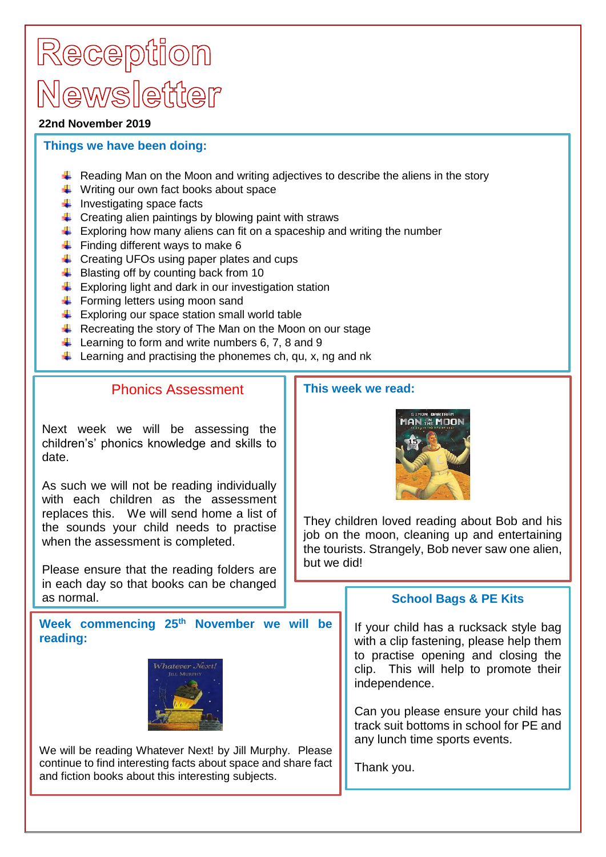# Reception Mewsletter

#### **22nd November 2019**

### **Things we have been doing:**

- Reading Man on the Moon and writing adjectives to describe the aliens in the story
- $\frac{1}{\sqrt{2}}$  Writing our own fact books about space
- $\ddot{\bullet}$  Investigating space facts
- $\ddot{\phantom{1}}$  Creating alien paintings by blowing paint with straws
- $\pm$  Exploring how many aliens can fit on a spaceship and writing the number
- $\ddot{\bullet}$  Finding different ways to make 6
- $\leftarrow$  Creating UFOs using paper plates and cups
- $\bigstar$  Blasting off by counting back from 10
- $\frac{1}{\sqrt{2}}$  Exploring light and dark in our investigation station
- $\overline{\phantom{a}}$  Forming letters using moon sand
- $\bigstar$  Exploring our space station small world table
- $\overline{\text{L}}$  Recreating the story of The Man on the Moon on our stage
- $\downarrow$  Learning to form and write numbers 6, 7, 8 and 9
- $\downarrow$  Learning and practising the phonemes ch, gu, x, ng and nk

### Phonics Assessment

Next week we will be assessing the children's' phonics knowledge and skills to date.

As such we will not be reading individually with each children as the assessment replaces this. We will send home a list of the sounds your child needs to practise when the assessment is completed.

Please ensure that the reading folders are in each day so that books can be changed as normal.

**Week commencing 25th November we will be reading:**



We will be reading Whatever Next! by Jill Murphy. Please continue to find interesting facts about space and share fact and fiction books about this interesting subjects.

### **This week we read:**



They children loved reading about Bob and his job on the moon, cleaning up and entertaining the tourists. Strangely, Bob never saw one alien, but we did!

## **School Bags & PE Kits**

If your child has a rucksack style bag with a clip fastening, please help them to practise opening and closing the clip. This will help to promote their independence.

Can you please ensure your child has track suit bottoms in school for PE and any lunch time sports events.

Thank you.